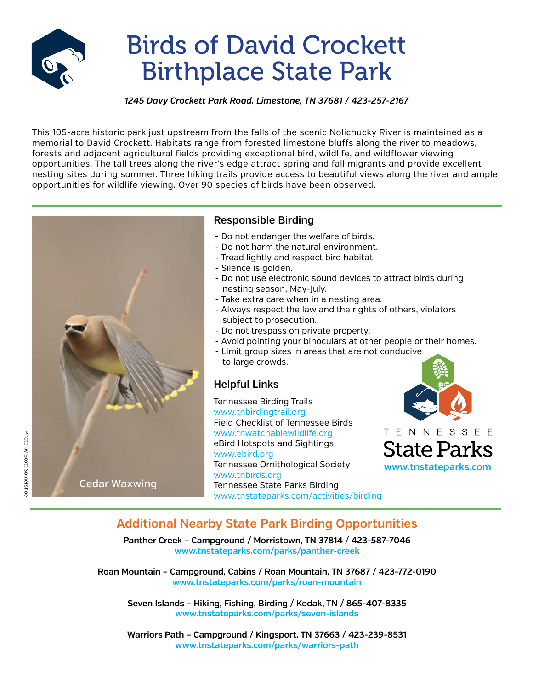

# Birds of David Crockett Birthplace State Park

#### *1245 Davy Crockett Park Road, Limestone, TN 37681 / 423-257-2167*

This 105-acre historic park just upstream from the falls of the scenic Nolichucky River is maintained as a memorial to David Crockett. Habitats range from forested limestone bluffs along the river to meadows, forests and adjacent agricultural fields providing exceptional bird, wildlife, and wildflower viewing opportunities. The tall trees along the river's edge attract spring and fall migrants and provide excellent nesting sites during summer. Three hiking trails provide access to beautiful views along the river and ample opportunities for wildlife viewing. Over 90 species of birds have been observed.



### **Responsible Birding**

- Do not endanger the welfare of birds.
- Do not harm the natural environment.
- Tread lightly and respect bird habitat.
- Silence is golden.
- Do not use electronic sound devices to attract birds during nesting season, May-July.
- Take extra care when in a nesting area.
- Always respect the law and the rights of others, violators subject to prosecution.
- Do not trespass on private property.
- Avoid pointing your binoculars at other people or their homes.
- Limit group sizes in areas that are not conducive to large crowds.

### **Helpful Links**

Tennessee Birding Trails www.tnbirdingtrail.org Field Checklist of Tennessee Birds www.tnwatchablewildlife.org eBird Hotspots and Sightings www.ebird.org Tennessee Ornithological Society www.tnbirds.org Tennessee State Parks Birding www.tnstateparks.com/activities/birding



**Additional Nearby State Park Birding Opportunities**

**Panther Creek – Campground / Morristown, TN 37814 / 423-587-7046 www.tnstateparks.com/parks/panther-creek** 

**Roan Mountain – Campground, Cabins / Roan Mountain, TN 37687 / 423-772-0190 www.tnstateparks.com/parks/roan-mountain**

**Seven Islands – Hiking, Fishing, Birding / Kodak, TN / 865-407-8335 www.tnstateparks.com/parks/seven-islands**

**Warriors Path – Campground / Kingsport, TN 37663 / 423-239-8531 www.tnstateparks.com/parks/warriors-path**